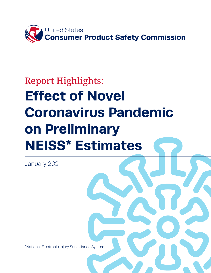

# Report Highlights: **Effect of Novel Coronavirus Pandemic on Preliminary NEISS\* Estimates**

January 2021

\*National Electronic Injury Surveillance System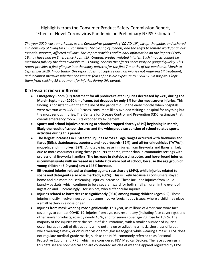# Highlights from the Consumer Product Safety Commission Report, "Effect of Novel Coronavirus Pandemic on Preliminary NEISS Estimates"

*The year 2020 was remarkable, as the Coronavirus pandemic ("COVID-19") swept the globe, and ushered in a new way of living for U.S. consumers. The closing of schools, and the shifts to remote work for all but essential workers, affected millions. This report provides preliminary information on the impact COVID-19 may have had on Emergency Room (ER)-treated, product-related injuries. Such impacts cannot be measured fully by the data available to us today, nor can the effects necessarily be gauged quickly. This report provides a first glimpse into the injury patterns for the first 7 months of the pandemic, March to September 2020. Importantly, this report does not capture data on injuries not requiring ER treatment, and it cannot measure whether consumers' fears of possible exposure to COVID-19 in hospitals kept them from seeking ER treatment for injuries during this period.* 

#### **KEY INSIGHTS FROM THE REPORT**

- **Emergency Room (ER) treatment for all product-related injuries decreased by 24%, during the March-September 2020 timeframe, but dropped by only 1% for the most severe injuries.** This finding is consistent with the timeline of the pandemic—in the early months when hospitals were overrun with COVID-19 cases, consumers likely avoided visiting a hospital for anything but the most serious injuries. The Centers for Disease Control and Prevention (CDC) estimates that overall emergency room visits dropped by 42 percent.
- **Sports and school injuries occurring at schools dropped sharply (81%) beginning in March, likely the result of school closures and the widespread suspension of school-related sports activities during this period.**
- **The largest increases in ER-treated injuries across all age ranges occurred with fireworks and flares (56%), skateboards, scooters, and hoverboards (39%), and all-terrain vehicles ("ATVs"), mopeds, and minibikes (39%).** A notable increase in injuries from fireworks and flares is likely due to more consumers using these products at home, rather than in community settings with professional fireworks handlers. **The increase in skateboard, scooter, and hoverboard injuries is commensurate with increased use while kids were out of school, because the age group of young children (5-9 years) saw a 143% increase.**
- **ER-treated injuries related to cleaning agents rose sharply (84%), while injuries related to soaps and detergents also rose markedly (60%). This is likely because** as consumers stayed home and did more housecleaning, injuries increased. These included injuries from liquid laundry packets, which continue to be a severe hazard for both small children in the event of ingestion and—increasingly—for seniors, who suffer ocular injuries.
- **Injuries related to batteries rose significantly (93%) among young children (ages 5-9).** These injuries mostly involve ingestion, but some involve foreign body issues, where a child may place a small battery in a nose or ear.
- **Injuries from mask-wearing rose significantly**. This year, as millions of Americans wore face coverings to combat COVID-19, injuries from eye, ear, respiratory (including face coverings), and other similar products, rose by nearly 40 %, and for seniors over age 70, rose by 109 %. The majority of the injuries were the result of skin irritations, with a smaller number of injuries occurring as a result of distractions while putting on or adjusting a mask, shortness of breath while wearing a mask, or obscured vision from glasses fogging while wearing a mask. CPSC does not regulate medical-grade masks, such as the N-95, commonly referred to as Personal Protective Equipment (PPE), which are considered FDA Medical Devices. The face coverings in this data set are nonmedical and are considered articles of wearing apparel regulated by CPSC.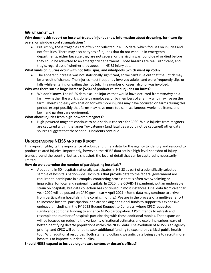## **WHAT ABOUT …?**

#### **Why doesn't this report on hospital-treated injuries show information about drowning, furniture tipovers, or window cord strangulations?**

• Put simply, these tragedies are often not reflected in NEISS data, which focuses on injuries and not fatalities. There may also be types of injuries that do not wind up in emergency departments, either because they are not severe, or the victim was found dead or died before they could be admitted to an emergency department. Those hazards are real, significant, and tragic, regardless of whether they appear in NEISS injury data.

#### **What kinds of injuries occur with hot tubs, spas, and whirlpools (which went up 25%)?**

The apparent increase was not statistically significant, so we can't rule out that the uptick may be a result of chance. The injuries most frequently involved adults, and were frequently slips or falls while entering or exiting the hot tub. In a number of cases, alcohol was involved.

#### **Why was there such a large increase (52%) of product-related injuries on farms?**

• We don't know. The NEISS data exclude injuries that would have occurred from *working* on a farm—whether the work is done by employees or by members of a family who may live on the farm. There's no easy explanation for why more injuries may have occurred on farms during this period, except possibly that farms may have more tools, miscellaneous workshop items, and lawn and garden care equipment.

#### **What about injuries from high-powered magnets?**

• High-powered magnets continue to be a serious concern for CPSC. While injuries from magnets are captured within the larger Toy category (and fatalities would not be captured) other data sources suggest that these serious incidents continue.

#### **UNDERSTANDING NEISS AND THIS REPORT**

This report highlights the importance of robust and timely data for the agency to identify and respond to product-related injuries. Importantly, however, the NEISS data set is a high-level snapshot of injury trends around the country, but as a snapshot, the level of detail that can be captured is necessarily limited.

#### **How do we determine the number of participating hospitals?**

• About one in 50 hospitals nationally participates in NEISS as part of a scientifically selected sample of hospitals nationwide. Hospitals that provide data to the federal government are required to participate in a complex contracting process that is often overwhelming or impractical for local and regional hospitals. In 2020, the COVID-19 pandemic put an undeniable strain on hospitals, but data collection has continued in most instances. Final data from calendar year 2020 will be posted on CPSC.gov in early April 2021. (Some data may continue to arrive from participating hospitals in the coming months.) We are in the process of a multiyear effort to increase hospital participation, and are seeking additional funds to support this expensive endeavor, including in the FY 2022 Budget Request to Congress, where CPSC requested significant additional funding to enhance NEISS participation. CPSC intends to refresh and resample the number of hospitals participating with these additional monies. That expansion will be focused on reducing the variability of national estimates and exploring various ways of better identifying diverse populations within the NEISS data. The evolution of NEISS is an agency priority, and CPSC will continue to seek additional funding to expand this critical public health tool. With additional resources (both staff and dollars), we anticipate being able to recruit more hospitals to improve our data quality.

#### **Should NEISS expand to include urgent care centers or doctor's offices?**